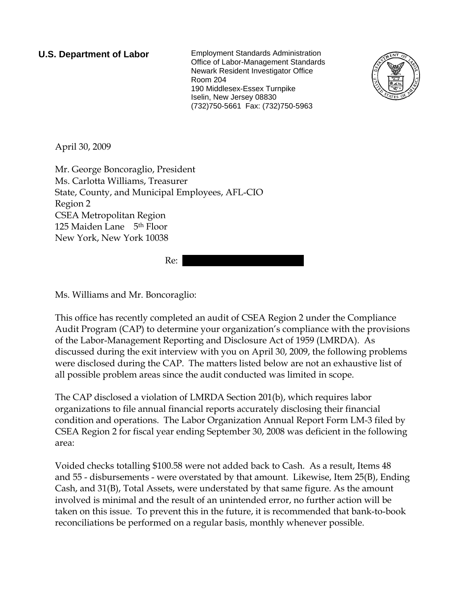**U.S. Department of Labor** Employment Standards Administration Office of Labor-Management Standards Newark Resident Investigator Office Room 204 190 Middlesex-Essex Turnpike Iselin, New Jersey 08830 (732)750-5661 Fax: (732)750-5963



April 30, 2009

Mr. George Boncoraglio, President Ms. Carlotta Williams, Treasurer State, County, and Municipal Employees, AFL-CIO Region 2 CSEA Metropolitan Region 125 Maiden Lane 5th Floor New York, New York 10038

 $Re:$ 

Ms. Williams and Mr. Boncoraglio:

This office has recently completed an audit of CSEA Region 2 under the Compliance Audit Program (CAP) to determine your organization's compliance with the provisions of the Labor-Management Reporting and Disclosure Act of 1959 (LMRDA). As discussed during the exit interview with you on April 30, 2009, the following problems were disclosed during the CAP. The matters listed below are not an exhaustive list of all possible problem areas since the audit conducted was limited in scope.

The CAP disclosed a violation of LMRDA Section 201(b), which requires labor organizations to file annual financial reports accurately disclosing their financial condition and operations. The Labor Organization Annual Report Form LM-3 filed by CSEA Region 2 for fiscal year ending September 30, 2008 was deficient in the following area:

Voided checks totalling \$100.58 were not added back to Cash. As a result, Items 48 and 55 - disbursements - were overstated by that amount. Likewise, Item 25(B), Ending Cash, and 31(B), Total Assets, were understated by that same figure. As the amount involved is minimal and the result of an unintended error, no further action will be taken on this issue. To prevent this in the future, it is recommended that bank-to-book reconciliations be performed on a regular basis, monthly whenever possible.